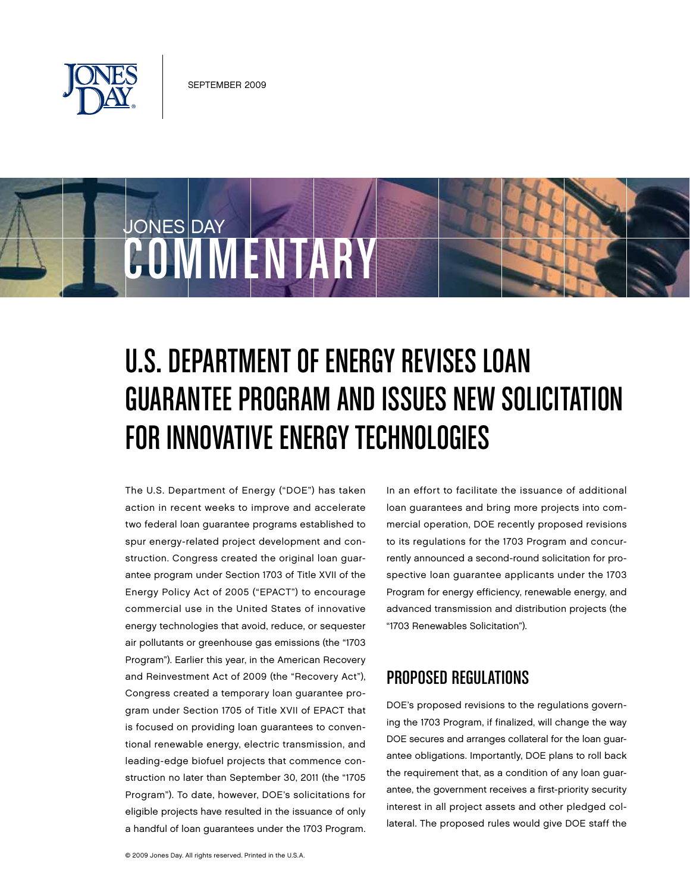

COMMENTARY

JONES DAY

# U.S. DEPARTMENT OF ENERGY REVISES LOAN

# GUARANTEE PROGRAM AND ISSUES NEW SOLICITATION FOR INNOVATIVE ENERGY TECHNOLOGIES

The U.S. Department of Energy ("DOE") has taken action in recent weeks to improve and accelerate two federal loan guarantee programs established to spur energy-related project development and construction. Congress created the original loan guarantee program under Section 1703 of Title XVII of the Energy Policy Act of 2005 ("EPACT") to encourage commercial use in the United States of innovative energy technologies that avoid, reduce, or sequester air pollutants or greenhouse gas emissions (the "1703 Program"). Earlier this year, in the American Recovery and Reinvestment Act of 2009 (the "Recovery Act"), Congress created a temporary loan guarantee program under Section 1705 of Title XVII of EPACT that is focused on providing loan guarantees to conventional renewable energy, electric transmission, and leading-edge biofuel projects that commence construction no later than September 30, 2011 (the "1705 Program"). To date, however, DOE's solicitations for eligible projects have resulted in the issuance of only a handful of loan guarantees under the 1703 Program.

In an effort to facilitate the issuance of additional loan guarantees and bring more projects into commercial operation, DOE recently proposed revisions to its regulations for the 1703 Program and concurrently announced a second-round solicitation for prospective loan guarantee applicants under the 1703 Program for energy efficiency, renewable energy, and advanced transmission and distribution projects (the "1703 Renewables Solicitation").

### Proposed Regulations

DOE's proposed revisions to the regulations governing the 1703 Program, if finalized, will change the way DOE secures and arranges collateral for the loan guarantee obligations. Importantly, DOE plans to roll back the requirement that, as a condition of any loan guarantee, the government receives a first-priority security interest in all project assets and other pledged collateral. The proposed rules would give DOE staff the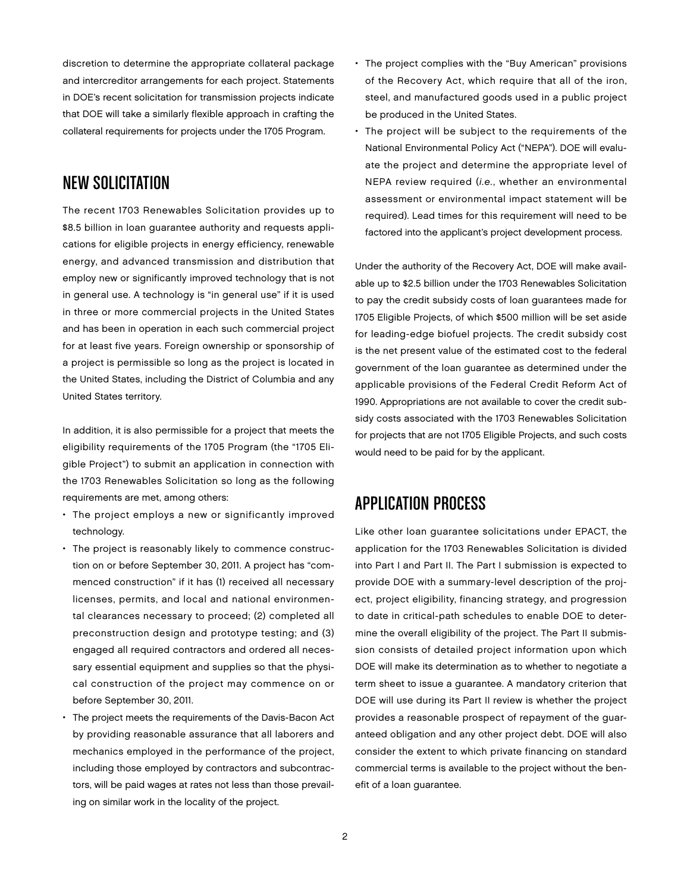discretion to determine the appropriate collateral package and intercreditor arrangements for each project. Statements in DOE's recent solicitation for transmission projects indicate that DOE will take a similarly flexible approach in crafting the collateral requirements for projects under the 1705 Program.

#### New Solicitation

The recent 1703 Renewables Solicitation provides up to \$8.5 billion in loan guarantee authority and requests applications for eligible projects in energy efficiency, renewable energy, and advanced transmission and distribution that employ new or significantly improved technology that is not in general use. A technology is "in general use" if it is used in three or more commercial projects in the United States and has been in operation in each such commercial project for at least five years. Foreign ownership or sponsorship of a project is permissible so long as the project is located in the United States, including the District of Columbia and any United States territory.

In addition, it is also permissible for a project that meets the eligibility requirements of the 1705 Program (the "1705 Eligible Project") to submit an application in connection with the 1703 Renewables Solicitation so long as the following requirements are met, among others:

- The project employs a new or significantly improved technology.
- The project is reasonably likely to commence construction on or before September 30, 2011. A project has "commenced construction" if it has (1) received all necessary licenses, permits, and local and national environmental clearances necessary to proceed; (2) completed all preconstruction design and prototype testing; and (3) engaged all required contractors and ordered all necessary essential equipment and supplies so that the physical construction of the project may commence on or before September 30, 2011.
- The project meets the requirements of the Davis-Bacon Act by providing reasonable assurance that all laborers and mechanics employed in the performance of the project, including those employed by contractors and subcontractors, will be paid wages at rates not less than those prevailing on similar work in the locality of the project.
- The project complies with the "Buy American" provisions of the Recovery Act, which require that all of the iron, steel, and manufactured goods used in a public project be produced in the United States.
- The project will be subject to the requirements of the National Environmental Policy Act ("NEPA"). DOE will evaluate the project and determine the appropriate level of NEPA review required (i.e., whether an environmental assessment or environmental impact statement will be required). Lead times for this requirement will need to be factored into the applicant's project development process.

Under the authority of the Recovery Act, DOE will make available up to \$2.5 billion under the 1703 Renewables Solicitation to pay the credit subsidy costs of loan guarantees made for 1705 Eligible Projects, of which \$500 million will be set aside for leading-edge biofuel projects. The credit subsidy cost is the net present value of the estimated cost to the federal government of the loan guarantee as determined under the applicable provisions of the Federal Credit Reform Act of 1990. Appropriations are not available to cover the credit subsidy costs associated with the 1703 Renewables Solicitation for projects that are not 1705 Eligible Projects, and such costs would need to be paid for by the applicant.

#### **APPLICATION PROCESS**

Like other loan guarantee solicitations under EPACT, the application for the 1703 Renewables Solicitation is divided into Part I and Part II. The Part I submission is expected to provide DOE with a summary-level description of the project, project eligibility, financing strategy, and progression to date in critical-path schedules to enable DOE to determine the overall eligibility of the project. The Part II submission consists of detailed project information upon which DOE will make its determination as to whether to negotiate a term sheet to issue a guarantee. A mandatory criterion that DOE will use during its Part II review is whether the project provides a reasonable prospect of repayment of the guaranteed obligation and any other project debt. DOE will also consider the extent to which private financing on standard commercial terms is available to the project without the benefit of a loan guarantee.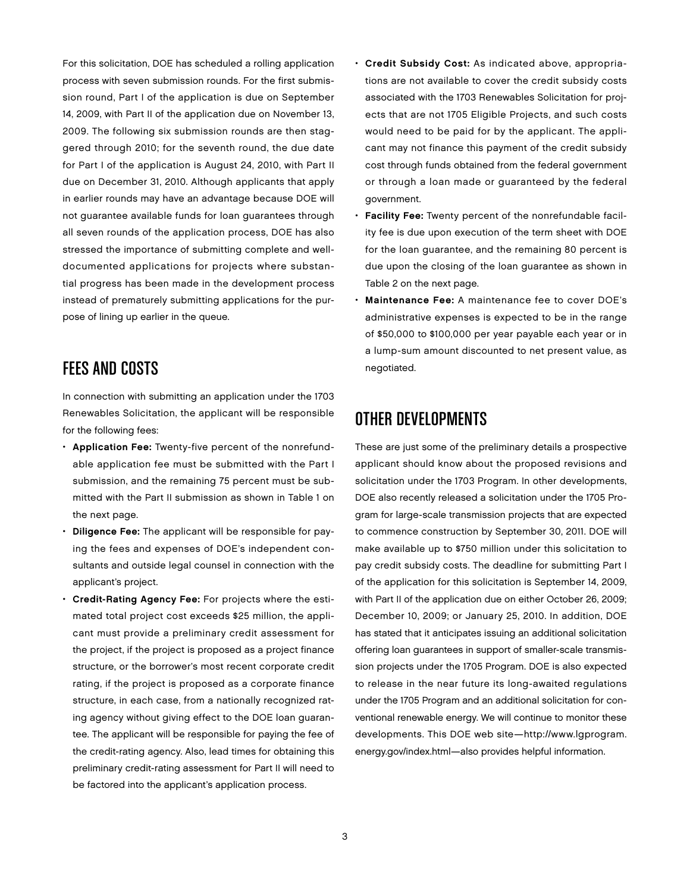For this solicitation, DOE has scheduled a rolling application process with seven submission rounds. For the first submission round, Part I of the application is due on September 14, 2009, with Part II of the application due on November 13, 2009. The following six submission rounds are then staggered through 2010; for the seventh round, the due date for Part I of the application is August 24, 2010, with Part II due on December 31, 2010. Although applicants that apply in earlier rounds may have an advantage because DOE will not guarantee available funds for loan guarantees through all seven rounds of the application process, DOE has also stressed the importance of submitting complete and welldocumented applications for projects where substantial progress has been made in the development process instead of prematurely submitting applications for the purpose of lining up earlier in the queue.

### Fees and Costs

In connection with submitting an application under the 1703 Renewables Solicitation, the applicant will be responsible for the following fees:

- • Application Fee: Twenty-five percent of the nonrefundable application fee must be submitted with the Part I submission, and the remaining 75 percent must be submitted with the Part II submission as shown in Table 1 on the next page.
- Diligence Fee: The applicant will be responsible for paying the fees and expenses of DOE's independent consultants and outside legal counsel in connection with the applicant's project.
- • Credit-Rating Agency Fee: For projects where the estimated total project cost exceeds \$25 million, the applicant must provide a preliminary credit assessment for the project, if the project is proposed as a project finance structure, or the borrower's most recent corporate credit rating, if the project is proposed as a corporate finance structure, in each case, from a nationally recognized rating agency without giving effect to the DOE loan guarantee. The applicant will be responsible for paying the fee of the credit-rating agency. Also, lead times for obtaining this preliminary credit-rating assessment for Part II will need to be factored into the applicant's application process.
- • Credit Subsidy Cost: As indicated above, appropriations are not available to cover the credit subsidy costs associated with the 1703 Renewables Solicitation for projects that are not 1705 Eligible Projects, and such costs would need to be paid for by the applicant. The applicant may not finance this payment of the credit subsidy cost through funds obtained from the federal government or through a loan made or guaranteed by the federal government.
- Facility Fee: Twenty percent of the nonrefundable facility fee is due upon execution of the term sheet with DOE for the loan guarantee, and the remaining 80 percent is due upon the closing of the loan guarantee as shown in Table 2 on the next page.
- Maintenance Fee: A maintenance fee to cover DOE's administrative expenses is expected to be in the range of \$50,000 to \$100,000 per year payable each year or in a lump-sum amount discounted to net present value, as negotiated.

## Other Developments

These are just some of the preliminary details a prospective applicant should know about the proposed revisions and solicitation under the 1703 Program. In other developments, DOE also recently released a solicitation under the 1705 Program for large-scale transmission projects that are expected to commence construction by September 30, 2011. DOE will make available up to \$750 million under this solicitation to pay credit subsidy costs. The deadline for submitting Part I of the application for this solicitation is September 14, 2009, with Part II of the application due on either October 26, 2009; December 10, 2009; or January 25, 2010. In addition, DOE has stated that it anticipates issuing an additional solicitation offering loan guarantees in support of smaller-scale transmission projects under the 1705 Program. DOE is also expected to release in the near future its long-awaited regulations under the 1705 Program and an additional solicitation for conventional renewable energy. We will continue to monitor these developments. This DOE web site—http://www.lgprogram. energy.gov/index.html—also provides helpful information.